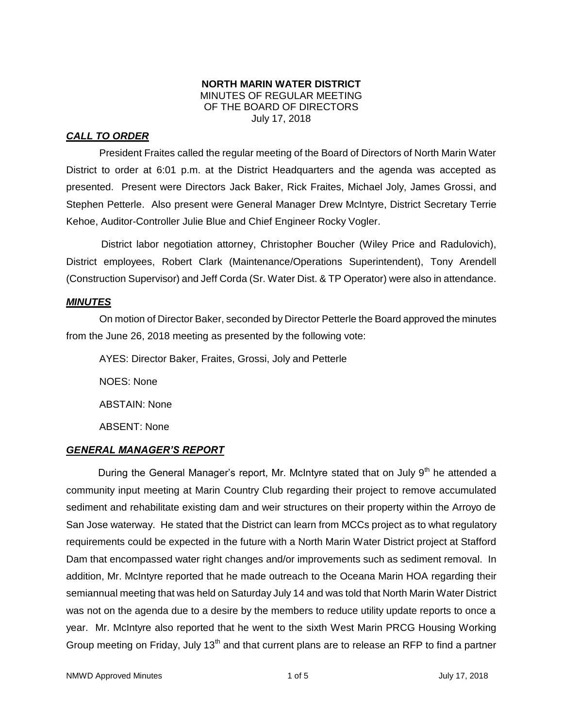### **NORTH MARIN WATER DISTRICT** MINUTES OF REGULAR MEETING OF THE BOARD OF DIRECTORS July 17, 2018

## *CALL TO ORDER*

President Fraites called the regular meeting of the Board of Directors of North Marin Water District to order at 6:01 p.m. at the District Headquarters and the agenda was accepted as presented. Present were Directors Jack Baker, Rick Fraites, Michael Joly, James Grossi, and Stephen Petterle. Also present were General Manager Drew McIntyre, District Secretary Terrie Kehoe, Auditor-Controller Julie Blue and Chief Engineer Rocky Vogler.

District labor negotiation attorney, Christopher Boucher (Wiley Price and Radulovich), District employees, Robert Clark (Maintenance/Operations Superintendent), Tony Arendell (Construction Supervisor) and Jeff Corda (Sr. Water Dist. & TP Operator) were also in attendance.

### *MINUTES*

On motion of Director Baker, seconded by Director Petterle the Board approved the minutes from the June 26, 2018 meeting as presented by the following vote:

AYES: Director Baker, Fraites, Grossi, Joly and Petterle NOES: None ABSTAIN: None ABSENT: None

## *GENERAL MANAGER'S REPORT*

During the General Manager's report, Mr. McIntyre stated that on July  $9<sup>th</sup>$  he attended a community input meeting at Marin Country Club regarding their project to remove accumulated sediment and rehabilitate existing dam and weir structures on their property within the Arroyo de San Jose waterway. He stated that the District can learn from MCCs project as to what regulatory requirements could be expected in the future with a North Marin Water District project at Stafford Dam that encompassed water right changes and/or improvements such as sediment removal. In addition, Mr. McIntyre reported that he made outreach to the Oceana Marin HOA regarding their semiannual meeting that was held on Saturday July 14 and was told that North Marin Water District was not on the agenda due to a desire by the members to reduce utility update reports to once a year. Mr. McIntyre also reported that he went to the sixth West Marin PRCG Housing Working Group meeting on Friday, July 13<sup>th</sup> and that current plans are to release an RFP to find a partner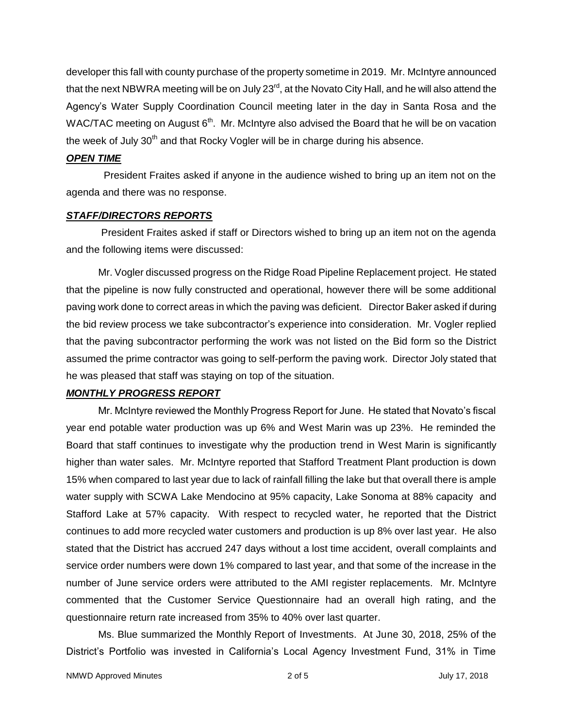developer this fall with county purchase of the property sometime in 2019. Mr. McIntyre announced that the next NBWRA meeting will be on July 23<sup>rd</sup>, at the Novato City Hall, and he will also attend the Agency's Water Supply Coordination Council meeting later in the day in Santa Rosa and the WAC/TAC meeting on August  $6<sup>th</sup>$ . Mr. McIntyre also advised the Board that he will be on vacation the week of July 30<sup>th</sup> and that Rocky Vogler will be in charge during his absence.

### *OPEN TIME*

President Fraites asked if anyone in the audience wished to bring up an item not on the agenda and there was no response.

## *STAFF/DIRECTORS REPORTS*

President Fraites asked if staff or Directors wished to bring up an item not on the agenda and the following items were discussed:

Mr. Vogler discussed progress on the Ridge Road Pipeline Replacement project. He stated that the pipeline is now fully constructed and operational, however there will be some additional paving work done to correct areas in which the paving was deficient. Director Baker asked if during the bid review process we take subcontractor's experience into consideration. Mr. Vogler replied that the paving subcontractor performing the work was not listed on the Bid form so the District assumed the prime contractor was going to self-perform the paving work. Director Joly stated that he was pleased that staff was staying on top of the situation.

### *MONTHLY PROGRESS REPORT*

Mr. McIntyre reviewed the Monthly Progress Report for June. He stated that Novato's fiscal year end potable water production was up 6% and West Marin was up 23%. He reminded the Board that staff continues to investigate why the production trend in West Marin is significantly higher than water sales. Mr. McIntyre reported that Stafford Treatment Plant production is down 15% when compared to last year due to lack of rainfall filling the lake but that overall there is ample water supply with SCWA Lake Mendocino at 95% capacity, Lake Sonoma at 88% capacity and Stafford Lake at 57% capacity. With respect to recycled water, he reported that the District continues to add more recycled water customers and production is up 8% over last year. He also stated that the District has accrued 247 days without a lost time accident, overall complaints and service order numbers were down 1% compared to last year, and that some of the increase in the number of June service orders were attributed to the AMI register replacements. Mr. McIntyre commented that the Customer Service Questionnaire had an overall high rating, and the questionnaire return rate increased from 35% to 40% over last quarter.

Ms. Blue summarized the Monthly Report of Investments. At June 30, 2018, 25% of the District's Portfolio was invested in California's Local Agency Investment Fund, 31% in Time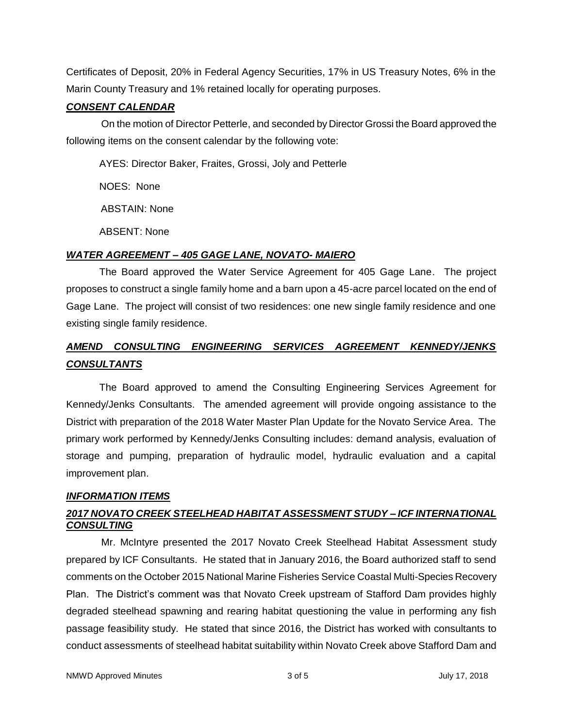Certificates of Deposit, 20% in Federal Agency Securities, 17% in US Treasury Notes, 6% in the Marin County Treasury and 1% retained locally for operating purposes.

### *CONSENT CALENDAR*

On the motion of Director Petterle, and seconded by Director Grossi the Board approved the following items on the consent calendar by the following vote:

AYES: Director Baker, Fraites, Grossi, Joly and Petterle

NOES: None

ABSTAIN: None

ABSENT: None

## *WATER AGREEMENT – 405 GAGE LANE, NOVATO- MAIERO*

The Board approved the Water Service Agreement for 405 Gage Lane. The project proposes to construct a single family home and a barn upon a 45-acre parcel located on the end of Gage Lane. The project will consist of two residences: one new single family residence and one existing single family residence.

# *AMEND CONSULTING ENGINEERING SERVICES AGREEMENT KENNEDY/JENKS CONSULTANTS*

The Board approved to amend the Consulting Engineering Services Agreement for Kennedy/Jenks Consultants. The amended agreement will provide ongoing assistance to the District with preparation of the 2018 Water Master Plan Update for the Novato Service Area. The primary work performed by Kennedy/Jenks Consulting includes: demand analysis, evaluation of storage and pumping, preparation of hydraulic model, hydraulic evaluation and a capital improvement plan.

## *INFORMATION ITEMS*

# *2017 NOVATO CREEK STEELHEAD HABITAT ASSESSMENT STUDY – ICF INTERNATIONAL CONSULTING*

Mr. McIntyre presented the 2017 Novato Creek Steelhead Habitat Assessment study prepared by ICF Consultants. He stated that in January 2016, the Board authorized staff to send comments on the October 2015 National Marine Fisheries Service Coastal Multi-Species Recovery Plan. The District's comment was that Novato Creek upstream of Stafford Dam provides highly degraded steelhead spawning and rearing habitat questioning the value in performing any fish passage feasibility study. He stated that since 2016, the District has worked with consultants to conduct assessments of steelhead habitat suitability within Novato Creek above Stafford Dam and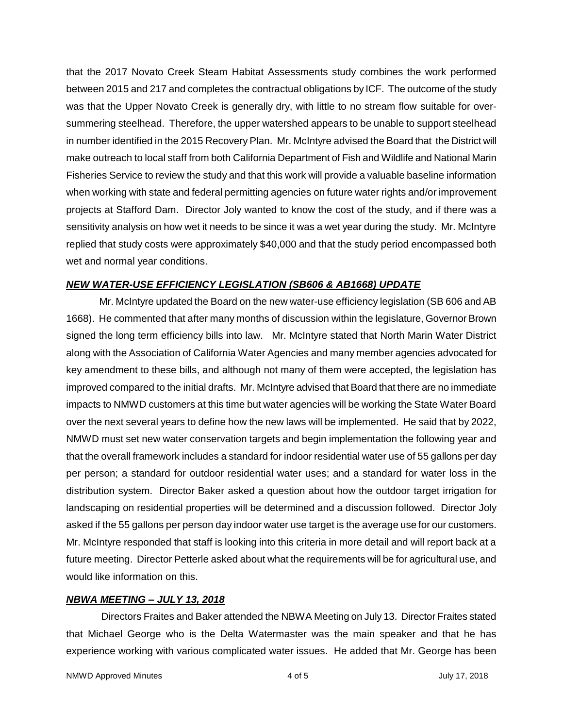that the 2017 Novato Creek Steam Habitat Assessments study combines the work performed between 2015 and 217 and completes the contractual obligations by ICF. The outcome of the study was that the Upper Novato Creek is generally dry, with little to no stream flow suitable for oversummering steelhead. Therefore, the upper watershed appears to be unable to support steelhead in number identified in the 2015 Recovery Plan. Mr. McIntyre advised the Board that the District will make outreach to local staff from both California Department of Fish and Wildlife and National Marin Fisheries Service to review the study and that this work will provide a valuable baseline information when working with state and federal permitting agencies on future water rights and/or improvement projects at Stafford Dam. Director Joly wanted to know the cost of the study, and if there was a sensitivity analysis on how wet it needs to be since it was a wet year during the study. Mr. McIntyre replied that study costs were approximately \$40,000 and that the study period encompassed both wet and normal year conditions.

### *NEW WATER-USE EFFICIENCY LEGISLATION (SB606 & AB1668) UPDATE*

Mr. McIntyre updated the Board on the new water-use efficiency legislation (SB 606 and AB 1668). He commented that after many months of discussion within the legislature, Governor Brown signed the long term efficiency bills into law. Mr. McIntyre stated that North Marin Water District along with the Association of California Water Agencies and many member agencies advocated for key amendment to these bills, and although not many of them were accepted, the legislation has improved compared to the initial drafts. Mr. McIntyre advised that Board that there are no immediate impacts to NMWD customers at this time but water agencies will be working the State Water Board over the next several years to define how the new laws will be implemented. He said that by 2022, NMWD must set new water conservation targets and begin implementation the following year and that the overall framework includes a standard for indoor residential water use of 55 gallons per day per person; a standard for outdoor residential water uses; and a standard for water loss in the distribution system. Director Baker asked a question about how the outdoor target irrigation for landscaping on residential properties will be determined and a discussion followed. Director Joly asked if the 55 gallons per person day indoor water use target is the average use for our customers. Mr. McIntyre responded that staff is looking into this criteria in more detail and will report back at a future meeting. Director Petterle asked about what the requirements will be for agricultural use, and would like information on this.

### *NBWA MEETING – JULY 13, 2018*

Directors Fraites and Baker attended the NBWA Meeting on July 13. Director Fraites stated that Michael George who is the Delta Watermaster was the main speaker and that he has experience working with various complicated water issues. He added that Mr. George has been